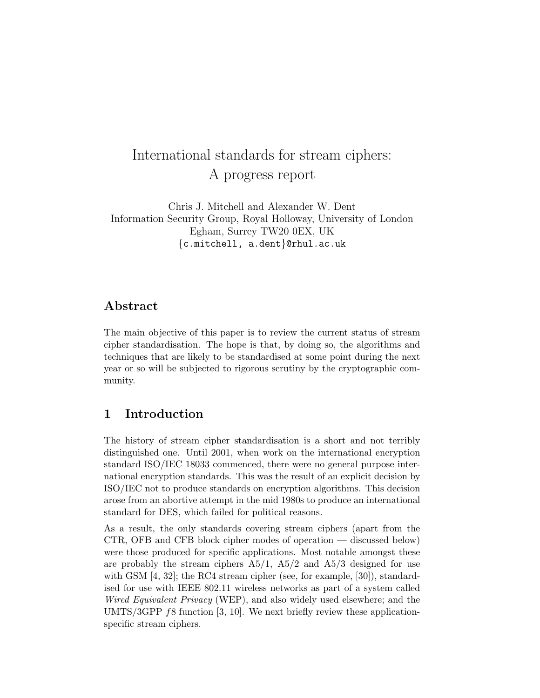# International standards for stream ciphers: A progress report

Chris J. Mitchell and Alexander W. Dent Information Security Group, Royal Holloway, University of London Egham, Surrey TW20 0EX, UK {c.mitchell, a.dent}@rhul.ac.uk

# Abstract

The main objective of this paper is to review the current status of stream cipher standardisation. The hope is that, by doing so, the algorithms and techniques that are likely to be standardised at some point during the next year or so will be subjected to rigorous scrutiny by the cryptographic community.

## 1 Introduction

The history of stream cipher standardisation is a short and not terribly distinguished one. Until 2001, when work on the international encryption standard ISO/IEC 18033 commenced, there were no general purpose international encryption standards. This was the result of an explicit decision by ISO/IEC not to produce standards on encryption algorithms. This decision arose from an abortive attempt in the mid 1980s to produce an international standard for DES, which failed for political reasons.

As a result, the only standards covering stream ciphers (apart from the CTR, OFB and CFB block cipher modes of operation — discussed below) were those produced for specific applications. Most notable amongst these are probably the stream ciphers  $A5/1$ ,  $A5/2$  and  $A5/3$  designed for use with GSM [4, 32]; the RC4 stream cipher (see, for example, [30]), standardised for use with IEEE 802.11 wireless networks as part of a system called Wired Equivalent Privacy (WEP), and also widely used elsewhere; and the UMTS/3GPP f8 function [3, 10]. We next briefly review these applicationspecific stream ciphers.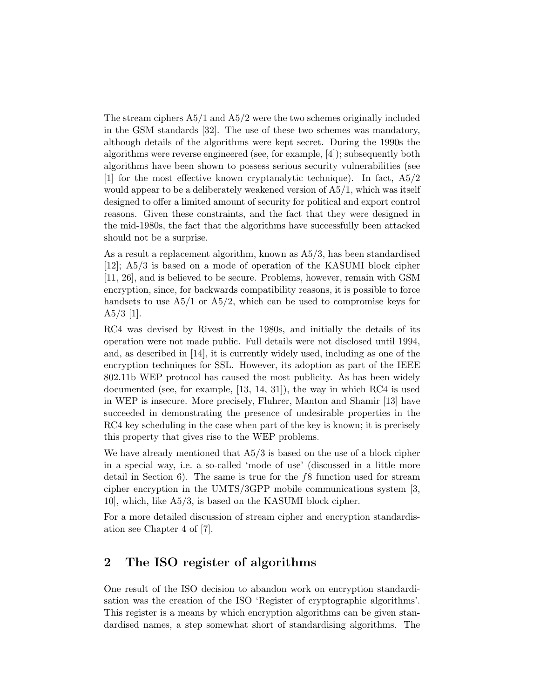The stream ciphers A5/1 and A5/2 were the two schemes originally included in the GSM standards [32]. The use of these two schemes was mandatory, although details of the algorithms were kept secret. During the 1990s the algorithms were reverse engineered (see, for example, [4]); subsequently both algorithms have been shown to possess serious security vulnerabilities (see [1] for the most effective known cryptanalytic technique). In fact, A5/2 would appear to be a deliberately weakened version of A5/1, which was itself designed to offer a limited amount of security for political and export control reasons. Given these constraints, and the fact that they were designed in the mid-1980s, the fact that the algorithms have successfully been attacked should not be a surprise.

As a result a replacement algorithm, known as A5/3, has been standardised [12]; A5/3 is based on a mode of operation of the KASUMI block cipher [11, 26], and is believed to be secure. Problems, however, remain with GSM encryption, since, for backwards compatibility reasons, it is possible to force handsets to use  $A5/1$  or  $A5/2$ , which can be used to compromise keys for  $A5/3$  [1].

RC4 was devised by Rivest in the 1980s, and initially the details of its operation were not made public. Full details were not disclosed until 1994, and, as described in [14], it is currently widely used, including as one of the encryption techniques for SSL. However, its adoption as part of the IEEE 802.11b WEP protocol has caused the most publicity. As has been widely documented (see, for example, [13, 14, 31]), the way in which RC4 is used in WEP is insecure. More precisely, Fluhrer, Manton and Shamir [13] have succeeded in demonstrating the presence of undesirable properties in the RC4 key scheduling in the case when part of the key is known; it is precisely this property that gives rise to the WEP problems.

We have already mentioned that  $A5/3$  is based on the use of a block cipher in a special way, i.e. a so-called 'mode of use' (discussed in a little more detail in Section 6). The same is true for the  $f8$  function used for stream cipher encryption in the UMTS/3GPP mobile communications system [3, 10], which, like A5/3, is based on the KASUMI block cipher.

For a more detailed discussion of stream cipher and encryption standardisation see Chapter 4 of [7].

# 2 The ISO register of algorithms

One result of the ISO decision to abandon work on encryption standardisation was the creation of the ISO 'Register of cryptographic algorithms'. This register is a means by which encryption algorithms can be given standardised names, a step somewhat short of standardising algorithms. The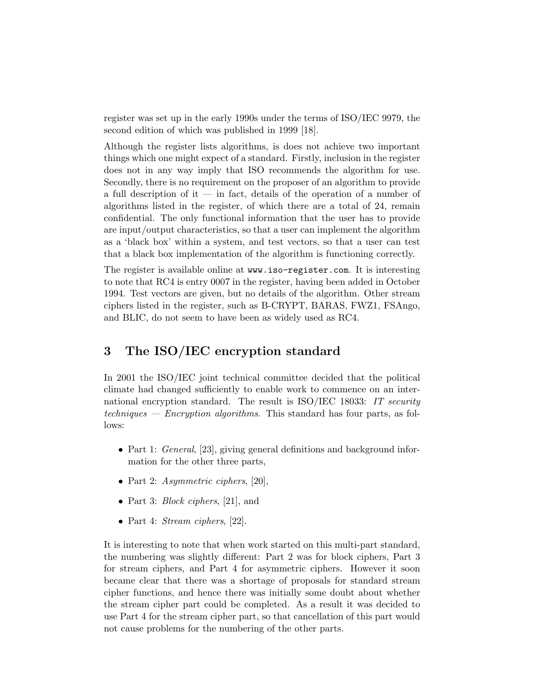register was set up in the early 1990s under the terms of ISO/IEC 9979, the second edition of which was published in 1999 [18].

Although the register lists algorithms, is does not achieve two important things which one might expect of a standard. Firstly, inclusion in the register does not in any way imply that ISO recommends the algorithm for use. Secondly, there is no requirement on the proposer of an algorithm to provide a full description of it  $\overline{a}$  in fact, details of the operation of a number of algorithms listed in the register, of which there are a total of 24, remain confidential. The only functional information that the user has to provide are input/output characteristics, so that a user can implement the algorithm as a 'black box' within a system, and test vectors, so that a user can test that a black box implementation of the algorithm is functioning correctly.

The register is available online at www.iso-register.com. It is interesting to note that RC4 is entry 0007 in the register, having been added in October 1994. Test vectors are given, but no details of the algorithm. Other stream ciphers listed in the register, such as B-CRYPT, BARAS, FWZ1, FSAngo, and BLIC, do not seem to have been as widely used as RC4.

# 3 The ISO/IEC encryption standard

In 2001 the ISO/IEC joint technical committee decided that the political climate had changed sufficiently to enable work to commence on an international encryption standard. The result is ISO/IEC 18033: IT security techniques — Encryption algorithms. This standard has four parts, as follows:

- Part 1: *General*, [23], giving general definitions and background information for the other three parts,
- Part 2: Asymmetric ciphers, [20],
- Part 3: *Block ciphers*, [21], and
- Part 4: *Stream ciphers*, [22].

It is interesting to note that when work started on this multi-part standard, the numbering was slightly different: Part 2 was for block ciphers, Part 3 for stream ciphers, and Part 4 for asymmetric ciphers. However it soon became clear that there was a shortage of proposals for standard stream cipher functions, and hence there was initially some doubt about whether the stream cipher part could be completed. As a result it was decided to use Part 4 for the stream cipher part, so that cancellation of this part would not cause problems for the numbering of the other parts.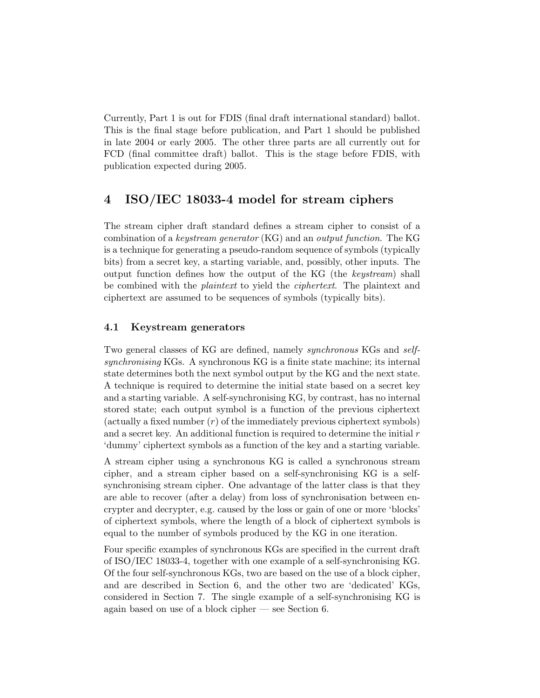Currently, Part 1 is out for FDIS (final draft international standard) ballot. This is the final stage before publication, and Part 1 should be published in late 2004 or early 2005. The other three parts are all currently out for FCD (final committee draft) ballot. This is the stage before FDIS, with publication expected during 2005.

# 4 ISO/IEC 18033-4 model for stream ciphers

The stream cipher draft standard defines a stream cipher to consist of a combination of a keystream generator (KG) and an output function. The KG is a technique for generating a pseudo-random sequence of symbols (typically bits) from a secret key, a starting variable, and, possibly, other inputs. The output function defines how the output of the KG (the keystream) shall be combined with the plaintext to yield the ciphertext. The plaintext and ciphertext are assumed to be sequences of symbols (typically bits).

#### 4.1 Keystream generators

Two general classes of KG are defined, namely synchronous KGs and selfsynchronising KGs. A synchronous KG is a finite state machine; its internal state determines both the next symbol output by the KG and the next state. A technique is required to determine the initial state based on a secret key and a starting variable. A self-synchronising KG, by contrast, has no internal stored state; each output symbol is a function of the previous ciphertext  $(\text{actually a fixed number } (r) \text{ of the immediately previous ciphertext symbols})$ and a secret key. An additional function is required to determine the initial  $r$ 'dummy' ciphertext symbols as a function of the key and a starting variable.

A stream cipher using a synchronous KG is called a synchronous stream cipher, and a stream cipher based on a self-synchronising KG is a selfsynchronising stream cipher. One advantage of the latter class is that they are able to recover (after a delay) from loss of synchronisation between encrypter and decrypter, e.g. caused by the loss or gain of one or more 'blocks' of ciphertext symbols, where the length of a block of ciphertext symbols is equal to the number of symbols produced by the KG in one iteration.

Four specific examples of synchronous KGs are specified in the current draft of ISO/IEC 18033-4, together with one example of a self-synchronising KG. Of the four self-synchronous KGs, two are based on the use of a block cipher, and are described in Section 6, and the other two are 'dedicated' KGs, considered in Section 7. The single example of a self-synchronising KG is again based on use of a block cipher — see Section 6.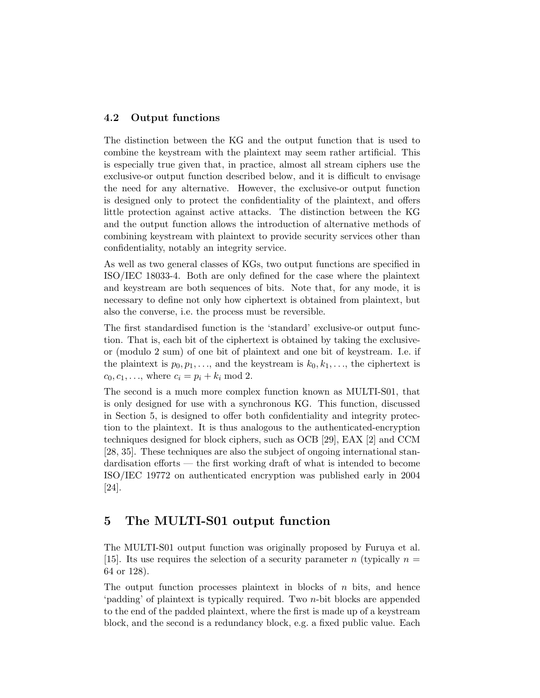#### 4.2 Output functions

The distinction between the KG and the output function that is used to combine the keystream with the plaintext may seem rather artificial. This is especially true given that, in practice, almost all stream ciphers use the exclusive-or output function described below, and it is difficult to envisage the need for any alternative. However, the exclusive-or output function is designed only to protect the confidentiality of the plaintext, and offers little protection against active attacks. The distinction between the KG and the output function allows the introduction of alternative methods of combining keystream with plaintext to provide security services other than confidentiality, notably an integrity service.

As well as two general classes of KGs, two output functions are specified in ISO/IEC 18033-4. Both are only defined for the case where the plaintext and keystream are both sequences of bits. Note that, for any mode, it is necessary to define not only how ciphertext is obtained from plaintext, but also the converse, i.e. the process must be reversible.

The first standardised function is the 'standard' exclusive-or output function. That is, each bit of the ciphertext is obtained by taking the exclusiveor (modulo 2 sum) of one bit of plaintext and one bit of keystream. I.e. if the plaintext is  $p_0, p_1, \ldots$ , and the keystream is  $k_0, k_1, \ldots$ , the ciphertext is  $c_0, c_1, ...,$  where  $c_i = p_i + k_i \text{ mod } 2$ .

The second is a much more complex function known as MULTI-S01, that is only designed for use with a synchronous KG. This function, discussed in Section 5, is designed to offer both confidentiality and integrity protection to the plaintext. It is thus analogous to the authenticated-encryption techniques designed for block ciphers, such as OCB [29], EAX [2] and CCM [28, 35]. These techniques are also the subject of ongoing international standardisation efforts — the first working draft of what is intended to become ISO/IEC 19772 on authenticated encryption was published early in 2004 [24].

## 5 The MULTI-S01 output function

The MULTI-S01 output function was originally proposed by Furuya et al. [15]. Its use requires the selection of a security parameter n (typically  $n =$ 64 or 128).

The output function processes plaintext in blocks of  $n$  bits, and hence 'padding' of plaintext is typically required. Two n-bit blocks are appended to the end of the padded plaintext, where the first is made up of a keystream block, and the second is a redundancy block, e.g. a fixed public value. Each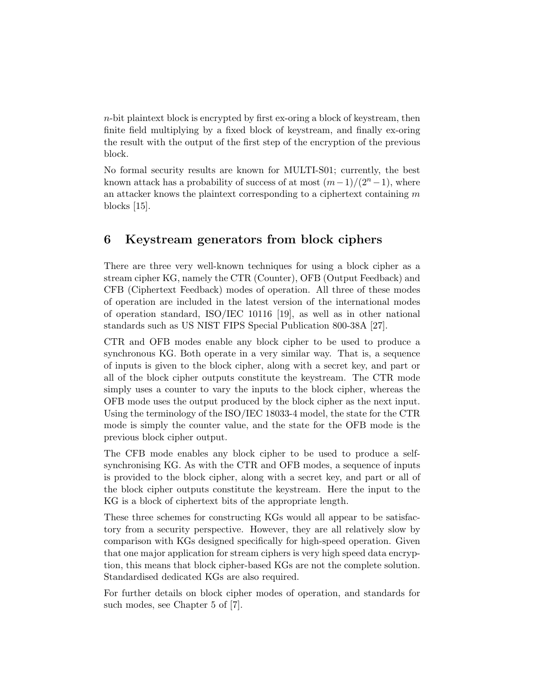$n$ -bit plaintext block is encrypted by first ex-oring a block of keystream, then finite field multiplying by a fixed block of keystream, and finally ex-oring the result with the output of the first step of the encryption of the previous block.

No formal security results are known for MULTI-S01; currently, the best known attack has a probability of success of at most  $(m-1)/(2<sup>n</sup> - 1)$ , where an attacker knows the plaintext corresponding to a ciphertext containing  $m$ blocks [15].

# 6 Keystream generators from block ciphers

There are three very well-known techniques for using a block cipher as a stream cipher KG, namely the CTR (Counter), OFB (Output Feedback) and CFB (Ciphertext Feedback) modes of operation. All three of these modes of operation are included in the latest version of the international modes of operation standard, ISO/IEC 10116 [19], as well as in other national standards such as US NIST FIPS Special Publication 800-38A [27].

CTR and OFB modes enable any block cipher to be used to produce a synchronous KG. Both operate in a very similar way. That is, a sequence of inputs is given to the block cipher, along with a secret key, and part or all of the block cipher outputs constitute the keystream. The CTR mode simply uses a counter to vary the inputs to the block cipher, whereas the OFB mode uses the output produced by the block cipher as the next input. Using the terminology of the ISO/IEC 18033-4 model, the state for the CTR mode is simply the counter value, and the state for the OFB mode is the previous block cipher output.

The CFB mode enables any block cipher to be used to produce a selfsynchronising KG. As with the CTR and OFB modes, a sequence of inputs is provided to the block cipher, along with a secret key, and part or all of the block cipher outputs constitute the keystream. Here the input to the KG is a block of ciphertext bits of the appropriate length.

These three schemes for constructing KGs would all appear to be satisfactory from a security perspective. However, they are all relatively slow by comparison with KGs designed specifically for high-speed operation. Given that one major application for stream ciphers is very high speed data encryption, this means that block cipher-based KGs are not the complete solution. Standardised dedicated KGs are also required.

For further details on block cipher modes of operation, and standards for such modes, see Chapter 5 of [7].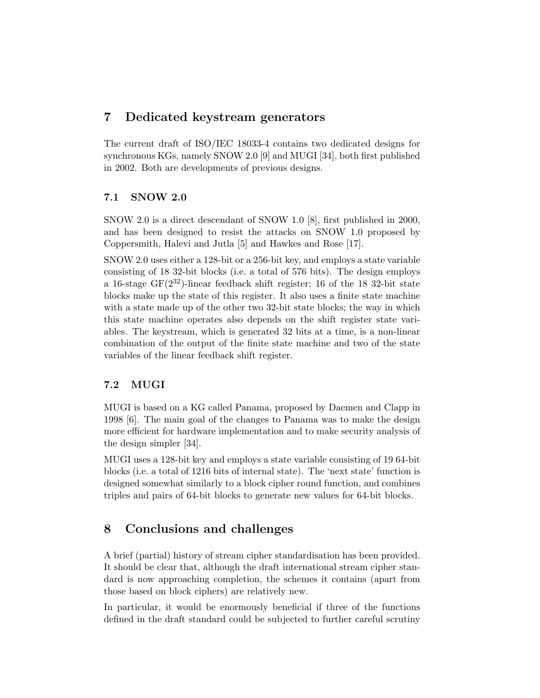# 7 Dedicated keystream generators

The current draft of ISO/IEC 18033-4 contains two dedicated designs for synchronous KGs, namely SNOW 2.0 [9] and MUGI [34], both first published in 2002. Both are developments of previous designs.

#### 7.1 SNOW 2.0

SNOW 2.0 is a direct descendant of SNOW 1.0 [8], first published in 2000, and has been designed to resist the attacks on SNOW 1.0 proposed by Coppersmith, Halevi and Jutla [5] and Hawkes and Rose [17].

SNOW 2.0 uses either a 128-bit or a 256-bit key, and employs a state variable consisting of 18 32-bit blocks (i.e. a total of 576 bits). The design employs a 16-stage GF $(2^{32})$ -linear feedback shift register; 16 of the 18 32-bit state blocks make up the state of this register. It also uses a finite state machine with a state made up of the other two 32-bit state blocks; the way in which this state machine operates also depends on the shift register state variables. The keystream, which is generated 32 bits at a time, is a non-linear combination of the output of the finite state machine and two of the state variables of the linear feedback shift register.

#### 7.2 MUGI

MUGI is based on a KG called Panama, proposed by Daemen and Clapp in 1998 [6]. The main goal of the changes to Panama was to make the design more efficient for hardware implementation and to make security analysis of the design simpler [34].

MUGI uses a 128-bit key and employs a state variable consisting of 19 64-bit blocks (i.e. a total of 1216 bits of internal state). The 'next state' function is designed somewhat similarly to a block cipher round function, and combines triples and pairs of 64-bit blocks to generate new values for 64-bit blocks.

# 8 Conclusions and challenges

A brief (partial) history of stream cipher standardisation has been provided. It should be clear that, although the draft international stream cipher standard is now approaching completion, the schemes it contains (apart from those based on block ciphers) are relatively new.

In particular, it would be enormously beneficial if three of the functions defined in the draft standard could be subjected to further careful scrutiny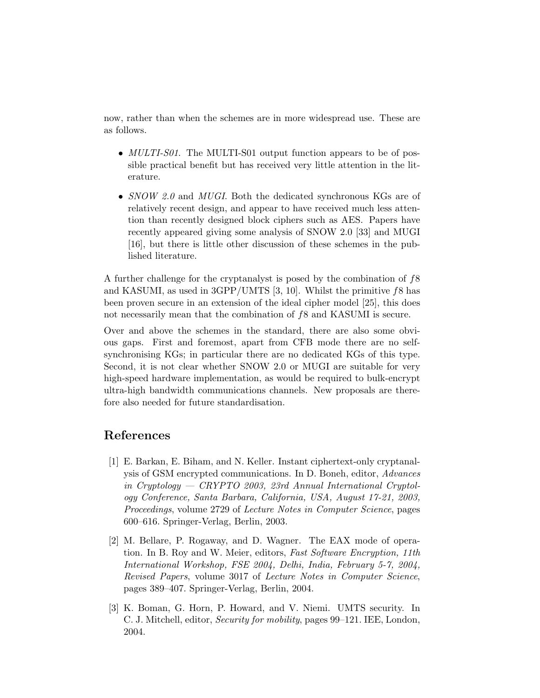now, rather than when the schemes are in more widespread use. These are as follows.

- *MULTI-S01*. The MULTI-S01 output function appears to be of possible practical benefit but has received very little attention in the literature.
- SNOW 2.0 and MUGI. Both the dedicated synchronous KGs are of relatively recent design, and appear to have received much less attention than recently designed block ciphers such as AES. Papers have recently appeared giving some analysis of SNOW 2.0 [33] and MUGI [16], but there is little other discussion of these schemes in the published literature.

A further challenge for the cryptanalyst is posed by the combination of f8 and KASUMI, as used in  $3GPP/UMTS$  [3, 10]. Whilst the primitive f8 has been proven secure in an extension of the ideal cipher model [25], this does not necessarily mean that the combination of  $f$ 8 and KASUMI is secure.

Over and above the schemes in the standard, there are also some obvious gaps. First and foremost, apart from CFB mode there are no selfsynchronising KGs; in particular there are no dedicated KGs of this type. Second, it is not clear whether SNOW 2.0 or MUGI are suitable for very high-speed hardware implementation, as would be required to bulk-encrypt ultra-high bandwidth communications channels. New proposals are therefore also needed for future standardisation.

# References

- [1] E. Barkan, E. Biham, and N. Keller. Instant ciphertext-only cryptanalysis of GSM encrypted communications. In D. Boneh, editor, Advances in Cryptology — CRYPTO 2003, 23rd Annual International Cryptology Conference, Santa Barbara, California, USA, August 17-21, 2003, Proceedings, volume 2729 of Lecture Notes in Computer Science, pages 600–616. Springer-Verlag, Berlin, 2003.
- [2] M. Bellare, P. Rogaway, and D. Wagner. The EAX mode of operation. In B. Roy and W. Meier, editors, Fast Software Encryption, 11th International Workshop, FSE 2004, Delhi, India, February 5-7, 2004, Revised Papers, volume 3017 of Lecture Notes in Computer Science, pages 389–407. Springer-Verlag, Berlin, 2004.
- [3] K. Boman, G. Horn, P. Howard, and V. Niemi. UMTS security. In C. J. Mitchell, editor, Security for mobility, pages 99–121. IEE, London, 2004.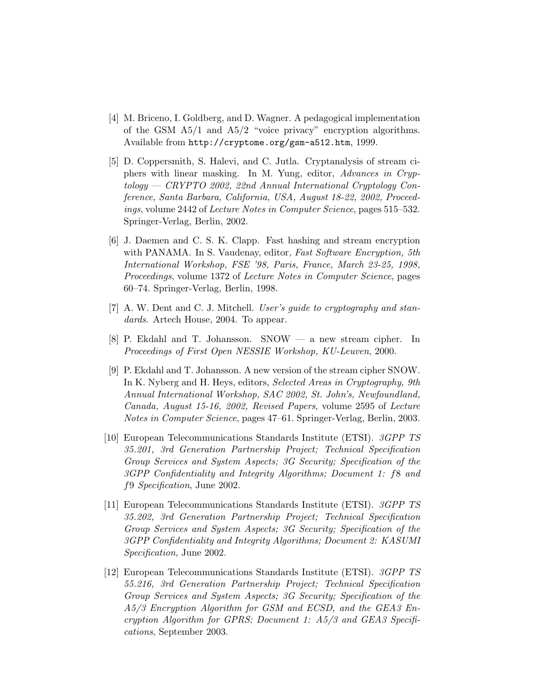- [4] M. Briceno, I. Goldberg, and D. Wagner. A pedagogical implementation of the GSM  $A5/1$  and  $A5/2$  "voice privacy" encryption algorithms. Available from http://cryptome.org/gsm-a512.htm, 1999.
- [5] D. Coppersmith, S. Halevi, and C. Jutla. Cryptanalysis of stream ciphers with linear masking. In M. Yung, editor, Advances in Cryptology — CRYPTO 2002, 22nd Annual International Cryptology Conference, Santa Barbara, California, USA, August 18-22, 2002, Proceedings, volume 2442 of Lecture Notes in Computer Science, pages 515–532. Springer-Verlag, Berlin, 2002.
- [6] J. Daemen and C. S. K. Clapp. Fast hashing and stream encryption with PANAMA. In S. Vaudenay, editor, Fast Software Encryption, 5th International Workshop, FSE '98, Paris, France, March 23-25, 1998, Proceedings, volume 1372 of Lecture Notes in Computer Science, pages 60–74. Springer-Verlag, Berlin, 1998.
- [7] A. W. Dent and C. J. Mitchell. User's guide to cryptography and standards. Artech House, 2004. To appear.
- [8] P. Ekdahl and T. Johansson. SNOW a new stream cipher. In Proceedings of First Open NESSIE Workshop, KU-Leuven, 2000.
- [9] P. Ekdahl and T. Johansson. A new version of the stream cipher SNOW. In K. Nyberg and H. Heys, editors, Selected Areas in Cryptography, 9th Annual International Workshop, SAC 2002, St. John's, Newfoundland, Canada, August 15-16, 2002, Revised Papers, volume 2595 of Lecture Notes in Computer Science, pages 47–61. Springer-Verlag, Berlin, 2003.
- [10] European Telecommunications Standards Institute (ETSI). 3GPP TS 35.201, 3rd Generation Partnership Project; Technical Specification Group Services and System Aspects; 3G Security; Specification of the 3GPP Confidentiality and Integrity Algorithms; Document 1: f8 and f9 Specification, June 2002.
- [11] European Telecommunications Standards Institute (ETSI). 3GPP TS 35.202, 3rd Generation Partnership Project; Technical Specification Group Services and System Aspects; 3G Security; Specification of the 3GPP Confidentiality and Integrity Algorithms; Document 2: KASUMI Specification, June 2002.
- [12] European Telecommunications Standards Institute (ETSI). 3GPP TS 55.216, 3rd Generation Partnership Project; Technical Specification Group Services and System Aspects; 3G Security; Specification of the A5/3 Encryption Algorithm for GSM and ECSD, and the GEA3 Encryption Algorithm for GPRS; Document 1: A5/3 and GEA3 Specifications, September 2003.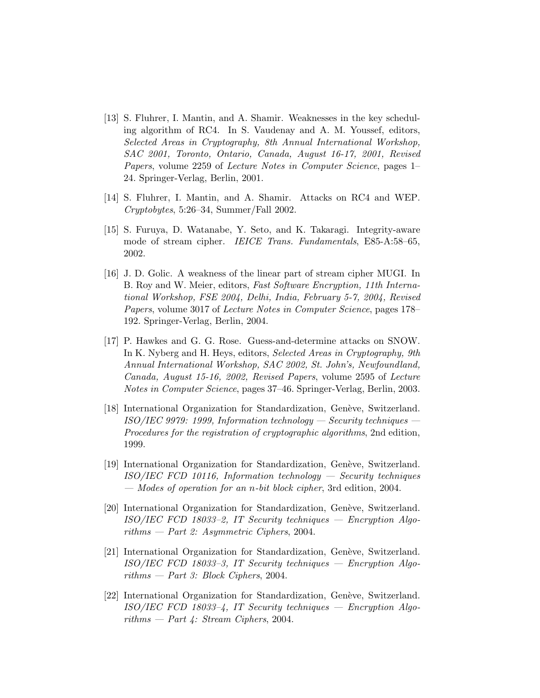- [13] S. Fluhrer, I. Mantin, and A. Shamir. Weaknesses in the key scheduling algorithm of RC4. In S. Vaudenay and A. M. Youssef, editors, Selected Areas in Cryptography, 8th Annual International Workshop, SAC 2001, Toronto, Ontario, Canada, August 16-17, 2001, Revised Papers, volume 2259 of Lecture Notes in Computer Science, pages 1– 24. Springer-Verlag, Berlin, 2001.
- [14] S. Fluhrer, I. Mantin, and A. Shamir. Attacks on RC4 and WEP. Cryptobytes, 5:26–34, Summer/Fall 2002.
- [15] S. Furuya, D. Watanabe, Y. Seto, and K. Takaragi. Integrity-aware mode of stream cipher. IEICE Trans. Fundamentals, E85-A:58–65, 2002.
- [16] J. D. Golic. A weakness of the linear part of stream cipher MUGI. In B. Roy and W. Meier, editors, Fast Software Encryption, 11th International Workshop, FSE 2004, Delhi, India, February 5-7, 2004, Revised Papers, volume 3017 of Lecture Notes in Computer Science, pages 178– 192. Springer-Verlag, Berlin, 2004.
- [17] P. Hawkes and G. G. Rose. Guess-and-determine attacks on SNOW. In K. Nyberg and H. Heys, editors, Selected Areas in Cryptography, 9th Annual International Workshop, SAC 2002, St. John's, Newfoundland, Canada, August 15-16, 2002, Revised Papers, volume 2595 of Lecture Notes in Computer Science, pages 37–46. Springer-Verlag, Berlin, 2003.
- [18] International Organization for Standardization, Genève, Switzerland.  $ISO/IEC$  9979: 1999, Information technology — Security techniques — Procedures for the registration of cryptographic algorithms, 2nd edition, 1999.
- [19] International Organization for Standardization, Genève, Switzerland. ISO/IEC FCD 10116, Information technology — Security techniques — Modes of operation for an n-bit block cipher, 3rd edition, 2004.
- [20] International Organization for Standardization, Genève, Switzerland.  $ISO/IEC$  FCD 18033-2, IT Security techniques — Encryption Algorithms — Part 2: Asymmetric Ciphers, 2004.
- [21] International Organization for Standardization, Genève, Switzerland. ISO/IEC FCD 18033–3, IT Security techniques — Encryption Algo $rithms - Part 3: Block Ciphers, 2004.$
- [22] International Organization for Standardization, Genève, Switzerland.  $ISO/IEC$  FCD 18033-4, IT Security techniques — Encryption Algorithms  $-$  Part 4: Stream Ciphers, 2004.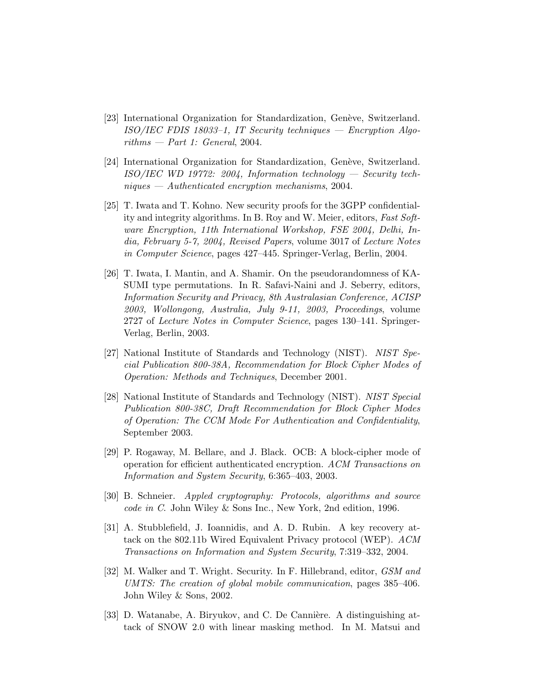- [23] International Organization for Standardization, Genève, Switzerland. ISO/IEC FDIS 18033–1, IT Security techniques — Encryption Algorithms  $-$  Part 1: General, 2004.
- [24] International Organization for Standardization, Genève, Switzerland.  $ISO/IEC$  WD 19772: 2004, Information technology — Security tech $niques - Authentication\, mechanisms, 2004.$
- [25] T. Iwata and T. Kohno. New security proofs for the 3GPP confidentiality and integrity algorithms. In B. Roy and W. Meier, editors, Fast Software Encryption, 11th International Workshop, FSE 2004, Delhi, India, February 5-7, 2004, Revised Papers, volume 3017 of Lecture Notes in Computer Science, pages 427–445. Springer-Verlag, Berlin, 2004.
- [26] T. Iwata, I. Mantin, and A. Shamir. On the pseudorandomness of KA-SUMI type permutations. In R. Safavi-Naini and J. Seberry, editors, Information Security and Privacy, 8th Australasian Conference, ACISP 2003, Wollongong, Australia, July 9-11, 2003, Proceedings, volume 2727 of Lecture Notes in Computer Science, pages 130–141. Springer-Verlag, Berlin, 2003.
- [27] National Institute of Standards and Technology (NIST). NIST Special Publication 800-38A, Recommendation for Block Cipher Modes of Operation: Methods and Techniques, December 2001.
- [28] National Institute of Standards and Technology (NIST). NIST Special Publication 800-38C, Draft Recommendation for Block Cipher Modes of Operation: The CCM Mode For Authentication and Confidentiality, September 2003.
- [29] P. Rogaway, M. Bellare, and J. Black. OCB: A block-cipher mode of operation for efficient authenticated encryption. ACM Transactions on Information and System Security, 6:365–403, 2003.
- [30] B. Schneier. Appled cryptography: Protocols, algorithms and source code in C. John Wiley & Sons Inc., New York, 2nd edition, 1996.
- [31] A. Stubblefield, J. Ioannidis, and A. D. Rubin. A key recovery attack on the 802.11b Wired Equivalent Privacy protocol (WEP). ACM Transactions on Information and System Security, 7:319–332, 2004.
- [32] M. Walker and T. Wright. Security. In F. Hillebrand, editor, GSM and UMTS: The creation of global mobile communication, pages 385–406. John Wiley & Sons, 2002.
- [33] D. Watanabe, A. Biryukov, and C. De Cannière. A distinguishing attack of SNOW 2.0 with linear masking method. In M. Matsui and